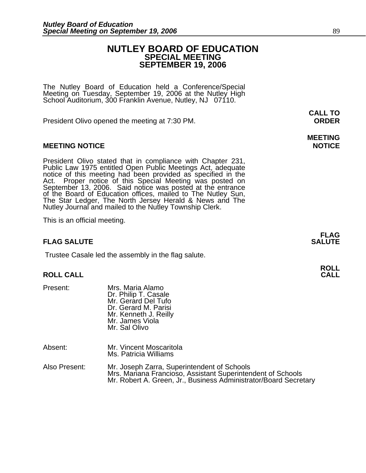## **NUTLEY BOARD OF EDUCATION SPECIAL MEETING SEPTEMBER 19, 2006**

The Nutley Board of Education held a Conference/Special Meeting on Tuesday, September 19, 2006 at the Nutley High School Auditorium, 300 Franklin Avenue, Nutley, NJ 07110.

President Olivo opened the meeting at 7:30 PM. **ORDER**

### **MEETING NOTICE NOTICE AND RESERVE ASSESS**

President Olivo stated that in compliance with Chapter 231, Public Law 1975 entitled Open Public Meetings Act, adequate notice of this meeting had been provided as specified in the Act. Proper notice of this Special Meetin of the Board of Education offices, mailed to The Nutley Sun, The Star Ledger, The North Jersey Herald & News and The Nutley Journal and mailed to the Nutley Township Clerk.

This is an official meeting.

### **FLAG SALUTE** SALUTE SALUTE SALUTE SALUTE SALUTE SALUTE SALUTE SALUTE SALUTE SALUTE SALUTE SALUTE SALUTE SALUTE SALUTE

Trustee Casale led the assembly in the flag salute.

# **ROLL ROLL CALL CALL**

Present: Mrs. Maria Alamo<br>Dr. Philip T. Casale Mr. Gerard Del Tufo Dr. Gerard M. Parisi Mr. Kenneth J. Reilly Mr. James Viola Mr. Sal Olivo

| Absent: | Mr. Vincent Moscaritola<br>Ms. Patricia Williams |  |  |  |  |   |  |  |  |  |
|---------|--------------------------------------------------|--|--|--|--|---|--|--|--|--|
| . .     |                                                  |  |  |  |  | . |  |  |  |  |

Also Present: Mr. Joseph Zarra, Superintendent of Schools Mrs. Mariana Francioso, Assistant Superintendent of Schools Mr. Robert A. Green, Jr., Business Administrator/Board Secretary

**FLAG** 

**MEETING**